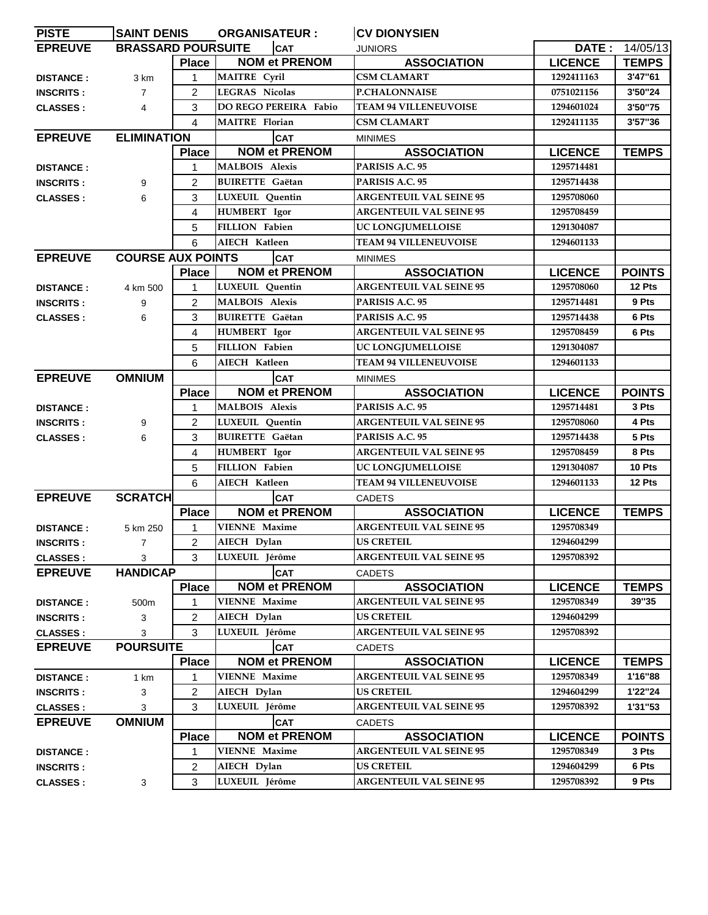| <b>PISTE</b>                         | <b>SAINT DENIS</b>        |                   | <b>ORGANISATEUR:</b>               | <b>CV DIONYSIEN</b>                                  |                              |                        |
|--------------------------------------|---------------------------|-------------------|------------------------------------|------------------------------------------------------|------------------------------|------------------------|
| <b>EPREUVE</b>                       | <b>BRASSARD POURSUITE</b> |                   | <b>CAT</b>                         | <b>JUNIORS</b>                                       |                              | <b>DATE: 14/05/13</b>  |
|                                      |                           | <b>Place</b>      | <b>NOM et PRENOM</b>               | <b>ASSOCIATION</b>                                   | <b>LICENCE</b>               | <b>TEMPS</b>           |
| <b>DISTANCE:</b>                     | 3 km                      | 1                 | MAITRE Cyril                       | <b>CSM CLAMART</b>                                   | 1292411163                   | 3'47"61                |
| <b>INSCRITS:</b>                     | $\overline{7}$            | $\overline{c}$    | <b>LEGRAS Nicolas</b>              | <b>P.CHALONNAISE</b>                                 | 0751021156                   | 3'50"24                |
| <b>CLASSES:</b>                      | 4                         | 3                 | DO REGO PEREIRA Fabio              | <b>TEAM 94 VILLENEUVOISE</b>                         | 1294601024                   | 3'50''75               |
|                                      |                           | 4                 | <b>MAITRE</b> Florian              | CSM CLAMART                                          | 1292411135                   | 3'57"36                |
| <b>EPREUVE</b>                       | <b>ELIMINATION</b>        |                   | <b>CAT</b>                         | <b>MINIMES</b>                                       |                              |                        |
|                                      |                           | <b>Place</b>      | <b>NOM et PRENOM</b>               | <b>ASSOCIATION</b>                                   | <b>LICENCE</b>               | <b>TEMPS</b>           |
| <b>DISTANCE:</b>                     |                           | 1                 | <b>MALBOIS Alexis</b>              | PARISIS A.C. 95                                      | 1295714481                   |                        |
| <b>INSCRITS:</b>                     | 9                         | $\overline{2}$    | <b>BUIRETTE Gaëtan</b>             | PARISIS A.C. 95                                      | 1295714438                   |                        |
| <b>CLASSES:</b>                      | 6                         | 3                 | <b>LUXEUIL</b> Quentin             | <b>ARGENTEUIL VAL SEINE 95</b>                       | 1295708060                   |                        |
|                                      |                           | 4                 | HUMBERT Igor                       | <b>ARGENTEUIL VAL SEINE 95</b>                       | 1295708459                   |                        |
|                                      |                           | 5                 | FILLION Fabien                     | UC LONGJUMELLOISE                                    | 1291304087                   |                        |
|                                      |                           | 6                 | AIECH Katleen                      | <b>TEAM 94 VILLENEUVOISE</b>                         | 1294601133                   |                        |
| <b>EPREUVE</b>                       | <b>COURSE AUX POINTS</b>  |                   | ICAT                               | <b>MINIMES</b>                                       |                              |                        |
|                                      |                           | <b>Place</b>      | <b>NOM et PRENOM</b>               | <b>ASSOCIATION</b>                                   | <b>LICENCE</b>               | <b>POINTS</b>          |
| <b>DISTANCE:</b>                     | 4 km 500                  | 1                 | <b>LUXEUIL</b> Quentin             | <b>ARGENTEUIL VAL SEINE 95</b>                       | 1295708060                   | 12 Pts                 |
| <b>INSCRITS:</b>                     | 9                         | $\overline{2}$    | <b>MALBOIS Alexis</b>              | PARISIS A.C. 95                                      | 1295714481                   | 9 Pts                  |
| <b>CLASSES:</b>                      | 6                         | 3                 | <b>BUIRETTE</b> Gaëtan             | PARISIS A.C. 95                                      | 1295714438                   | 6 Pts                  |
|                                      |                           | 4                 | HUMBERT Igor                       | <b>ARGENTEUIL VAL SEINE 95</b>                       | 1295708459                   | 6 Pts                  |
|                                      |                           | 5                 | <b>FILLION Fabien</b>              | UC LONGJUMELLOISE                                    | 1291304087                   |                        |
|                                      |                           | 6                 | <b>AIECH Katleen</b>               | <b>TEAM 94 VILLENEUVOISE</b>                         | 1294601133                   |                        |
| <b>EPREUVE</b>                       | <b>OMNIUM</b>             |                   | <b>CAT</b>                         | <b>MINIMES</b>                                       |                              |                        |
|                                      |                           | <b>Place</b>      | <b>NOM et PRENOM</b>               | <b>ASSOCIATION</b>                                   | <b>LICENCE</b>               | <b>POINTS</b>          |
| <b>DISTANCE:</b>                     |                           | 1                 | <b>MALBOIS Alexis</b>              | PARISIS A.C. 95                                      | 1295714481                   | 3 Pts                  |
| <b>INSCRITS:</b>                     | 9                         | $\overline{2}$    | LUXEUIL Quentin                    | <b>ARGENTEUIL VAL SEINE 95</b>                       | 1295708060                   | 4 Pts                  |
| <b>CLASSES:</b>                      | 6                         | 3                 | <b>BUIRETTE Gaëtan</b>             | PARISIS A.C. 95                                      | 1295714438                   | 5 Pts                  |
|                                      |                           | 4                 | <b>HUMBERT</b> Igor                | <b>ARGENTEUIL VAL SEINE 95</b>                       | 1295708459                   | 8 Pts                  |
|                                      |                           | 5                 | <b>FILLION Fabien</b>              | UC LONGJUMELLOISE                                    | 1291304087                   | 10 Pts                 |
|                                      |                           | 6                 | AIECH Katleen                      | <b>TEAM 94 VILLENEUVOISE</b>                         | 1294601133                   | 12 Pts                 |
| <b>EPREUVE</b>                       | <b>SCRATCH</b>            |                   | <b>CAT</b>                         |                                                      |                              |                        |
|                                      |                           | <b>Place</b>      | <b>NOM et PRENOM</b>               | <b>CADETS</b><br><b>ASSOCIATION</b>                  | <b>LICENCE</b>               | <b>TEMPS</b>           |
| <b>DISTANCE:</b>                     | 5 km 250                  |                   | <b>VIENNE Maxime</b>               | <b>ARGENTEUIL VAL SEINE 95</b>                       | 1295708349                   |                        |
| <b>INSCRITS:</b>                     | $\overline{7}$            | $\overline{2}$    | AIECH Dylan                        | <b>US CRETEIL</b>                                    | 1294604299                   |                        |
| <b>CLASSES:</b>                      | 3                         | 3                 | LUXEUIL Jérôme                     | <b>ARGENTEUIL VAL SEINE 95</b>                       | 1295708392                   |                        |
| <b>EPREUVE</b>                       | <b>HANDICAP</b>           |                   | <b>CAT</b>                         |                                                      |                              |                        |
|                                      |                           | <b>Place</b>      | <b>NOM et PRENOM</b>               | <b>CADETS</b><br><b>ASSOCIATION</b>                  | <b>LICENCE</b>               | <b>TEMPS</b>           |
| <b>DISTANCE:</b>                     | 500m                      | 1                 | <b>VIENNE Maxime</b>               | <b>ARGENTEUIL VAL SEINE 95</b>                       | 1295708349                   | 39"35                  |
| <b>INSCRITS:</b>                     |                           | $\overline{2}$    | AIECH Dylan                        | <b>US CRETEIL</b>                                    | 1294604299                   |                        |
|                                      | 3                         | 3                 | LUXEUIL Jérôme                     | <b>ARGENTEUIL VAL SEINE 95</b>                       | 1295708392                   |                        |
| <b>CLASSES:</b>                      | 3<br><b>POURSUITE</b>     |                   |                                    |                                                      |                              |                        |
| <b>EPREUVE</b>                       |                           |                   | <b>CAT</b><br><b>NOM et PRENOM</b> | <b>CADETS</b><br><b>ASSOCIATION</b>                  | <b>LICENCE</b>               | <b>TEMPS</b>           |
|                                      |                           | <b>Place</b><br>1 | <b>VIENNE Maxime</b>               | <b>ARGENTEUIL VAL SEINE 95</b>                       | 1295708349                   | 1'16"88                |
| <b>DISTANCE:</b><br><b>INSCRITS:</b> | 1 km                      | $\overline{2}$    | AIECH Dylan                        | <b>US CRETEIL</b>                                    | 1294604299                   | 1'22"24                |
|                                      | 3                         |                   |                                    |                                                      |                              |                        |
| <b>CLASSES:</b>                      | 3                         | 3                 | LUXEUIL Jérôme                     | <b>ARGENTEUIL VAL SEINE 95</b>                       | 1295708392                   | 1'31"53                |
| <b>EPREUVE</b>                       | <b>OMNIUM</b>             |                   | <b>CAT</b><br><b>NOM et PRENOM</b> | <b>CADETS</b>                                        |                              |                        |
|                                      |                           | <b>Place</b>      | <b>VIENNE Maxime</b>               | <b>ASSOCIATION</b><br><b>ARGENTEUIL VAL SEINE 95</b> | <b>LICENCE</b><br>1295708349 | <b>POINTS</b><br>3 Pts |
| <b>DISTANCE:</b>                     |                           | 1                 | AIECH Dylan                        | <b>US CRETEIL</b>                                    | 1294604299                   |                        |
| <b>INSCRITS:</b>                     |                           | 2                 |                                    |                                                      |                              | 6 Pts                  |
| <b>CLASSES:</b>                      | 3                         | 3                 | LUXEUIL Jérôme                     | <b>ARGENTEUIL VAL SEINE 95</b>                       | 1295708392                   | 9 Pts                  |